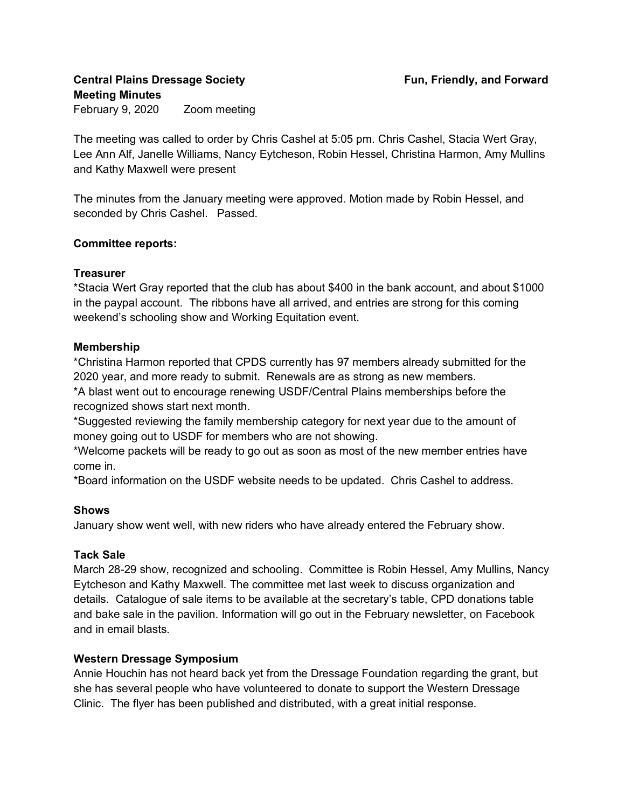**Central Plains Dressage Society Fun, Friendly, and Forward Meeting Minutes**  February 9, 2020 Zoom meeting

The meeting was called to order by Chris Cashel at 5:05 pm. Chris Cashel, Stacia Wert Gray, Lee Ann Alf, Janelle Williams, Nancy Eytcheson, Robin Hessel, Christina Harmon, Amy Mullins and Kathy Maxwell were present

The minutes from the January meeting were approved. Motion made by Robin Hessel, and seconded by Chris Cashel. Passed.

# **Committee reports:**

#### **Treasurer**

\*Stacia Wert Gray reported that the club has about \$400 in the bank account, and about \$1000 in the paypal account. The ribbons have all arrived, and entries are strong for this coming weekend's schooling show and Working Equitation event.

#### **Membership**

\*Christina Harmon reported that CPDS currently has 97 members already submitted for the 2020 year, and more ready to submit. Renewals are as strong as new members.

\*A blast went out to encourage renewing USDF/Central Plains memberships before the recognized shows start next month.

\*Suggested reviewing the family membership category for next year due to the amount of money going out to USDF for members who are not showing.

\*Welcome packets will be ready to go out as soon as most of the new member entries have come in.

\*Board information on the USDF website needs to be updated. Chris Cashel to address.

# **Shows**

January show went well, with new riders who have already entered the February show.

# **Tack Sale**

March 28-29 show, recognized and schooling. Committee is Robin Hessel, Amy Mullins, Nancy Eytcheson and Kathy Maxwell. The committee met last week to discuss organization and details. Catalogue of sale items to be available at the secretary's table, CPD donations table and bake sale in the pavilion. Information will go out in the February newsletter, on Facebook and in email blasts.

# **Western Dressage Symposium**

Annie Houchin has not heard back yet from the Dressage Foundation regarding the grant, but she has several people who have volunteered to donate to support the Western Dressage Clinic. The flyer has been published and distributed, with a great initial response.